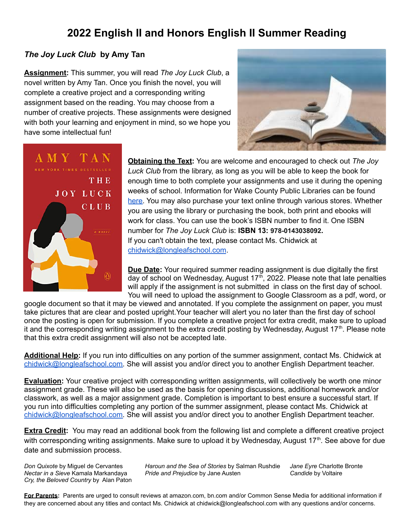# **2022 English II and Honors English II Summer Reading**

### *The Joy Luck Club* **by Amy Tan**

**Assignment:** This summer, you will read *The Joy Luck Club*, a novel written by Amy Tan. Once you finish the novel, you will complete a creative project and a corresponding writing assignment based on the reading. You may choose from a number of creative projects. These assignments were designed with both your learning and enjoyment in mind, so we hope you have some intellectual fun!





**Obtaining the Text:** You are welcome and encouraged to check out *The Joy Luck Club* from the library, as long as you will be able to keep the book for enough time to both complete your assignments and use it during the opening weeks of school. Information for Wake County Public Libraries can be found [here.](https://catalog.wakegov.com/) You may also purchase your text online through various stores. Whether you are using the library or purchasing the book, both print and ebooks will work for class. You can use the book's ISBN number to find it. One ISBN number for *The Joy Luck Club* is: **ISBN 13: 978-0143038092.** If you can't obtain the text, please contact Ms. Chidwick at [chidwick@longleafschool.com](mailto:chidwick@longleafschool.com).

**Due Date:** Your required summer reading assignment is due digitally the first day of school on Wednesday, August 17<sup>th</sup>, 2022. Please note that late penalties will apply if the assignment is not submitted in class on the first day of school. You will need to upload the assignment to Google Classroom as a pdf, word, or

google document so that it may be viewed and annotated. If you complete the assignment on paper, you must take pictures that are clear and posted upright.Your teacher will alert you no later than the first day of school once the posting is open for submission. If you complete a creative project for extra credit, make sure to upload it and the corresponding writing assignment to the extra credit posting by Wednesday, August 17<sup>th</sup>. Please note that this extra credit assignment will also not be accepted late.

**Additional Help:** If you run into difficulties on any portion of the summer assignment, contact Ms. Chidwick at [chidwick@longleafschool.com.](mailto:chidwick@longleafschool.com) She will assist you and/or direct you to another English Department teacher.

**Evaluation:** Your creative project with corresponding written assignments, will collectively be worth one minor assignment grade. These will also be used as the basis for opening discussions, additional homework and/or classwork, as well as a major assignment grade. Completion is important to best ensure a successful start. If you run into difficulties completing any portion of the summer assignment, please contact Ms. Chidwick at [chidwick@longleafschool.com.](mailto:chidwick@longleafschool.com) She will assist you and/or direct you to another English Department teacher.

**Extra Credit:** You may read an additional book from the following list and complete a different creative project with corresponding writing assignments. Make sure to upload it by Wednesday, August 17<sup>th</sup>. See above for due date and submission process.

*Cry, the Beloved Country* by Alan Paton

*Don Quixote* by Miguel de Cervantes *Haroun and the Sea of Stories* by Salman Rushdie *Jane Eyre* Charlotte Bronte *Nectar in a Sieve* Kamala Markandaya *Pride and Prejudice* by Jane Austen *Candide* by Voltaire

**For Parents:** Parents are urged to consult reviews at amazon.com, bn.com and/or Common Sense Media for additional information if they are concerned about any titles and contact Ms. Chidwick at chidwick@longleafschool.com with any questions and/or concerns.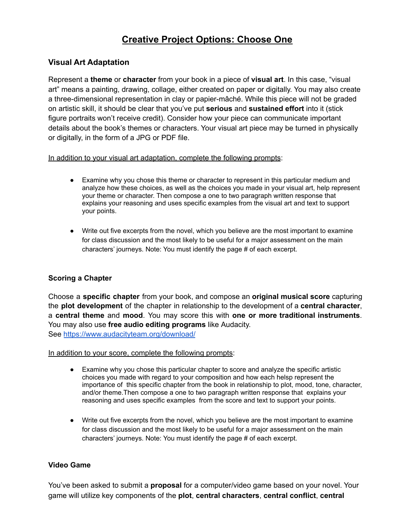# **Creative Project Options: Choose One**

### **Visual Art Adaptation**

Represent a **theme** or **character** from your book in a piece of **visual art**. In this case, "visual art" means a painting, drawing, collage, either created on paper or digitally. You may also create a three-dimensional representation in clay or papier-mâché. While this piece will not be graded on artistic skill, it should be clear that you've put **serious** and **sustained effort** into it (stick figure portraits won't receive credit). Consider how your piece can communicate important details about the book's themes or characters. Your visual art piece may be turned in physically or digitally, in the form of a JPG or PDF file.

### In addition to your visual art adaptation, complete the following prompts:

- Examine why you chose this theme or character to represent in this particular medium and analyze how these choices, as well as the choices you made in your visual art, help represent your theme or character. Then compose a one to two paragraph written response that explains your reasoning and uses specific examples from the visual art and text to support your points.
- Write out five excerpts from the novel, which you believe are the most important to examine for class discussion and the most likely to be useful for a major assessment on the main characters' journeys. Note: You must identify the page # of each excerpt.

### **Scoring a Chapter**

Choose a **specific chapter** from your book, and compose an **original musical score** capturing the **plot development** of the chapter in relationship to the development of a **central character**, a **central theme** and **mood**. You may score this with **one or more traditional instruments**. You may also use **free audio editing programs** like Audacity. See <https://www.audacityteam.org/download/>

#### In addition to your score, complete the following prompts:

- Examine why you chose this particular chapter to score and analyze the specific artistic choices you made with regard to your composition and how each helsp represent the importance of this specific chapter from the book in relationship to plot, mood, tone, character, and/or theme.Then compose a one to two paragraph written response that explains your reasoning and uses specific examples from the score and text to support your points.
- Write out five excerpts from the novel, which you believe are the most important to examine for class discussion and the most likely to be useful for a major assessment on the main characters' journeys. Note: You must identify the page # of each excerpt.

#### **Video Game**

You've been asked to submit a **proposal** for a computer/video game based on your novel. Your game will utilize key components of the **plot**, **central characters**, **central conflict**, **central**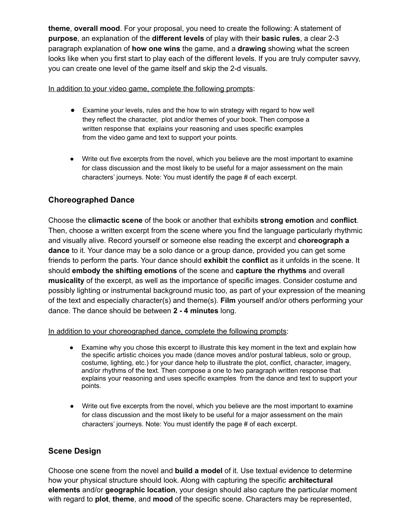**theme**, **overall mood**. For your proposal, you need to create the following: A statement of **purpose**, an explanation of the **different levels** of play with their **basic rules**, a clear 2-3 paragraph explanation of **how one wins** the game, and a **drawing** showing what the screen looks like when you first start to play each of the different levels. If you are truly computer savvy, you can create one level of the game itself and skip the 2-d visuals.

### In addition to your video game, complete the following prompts:

- Examine your levels, rules and the how to win strategy with regard to how well they reflect the character, plot and/or themes of your book. Then compose a written response that explains your reasoning and uses specific examples from the video game and text to support your points.
- Write out five excerpts from the novel, which you believe are the most important to examine for class discussion and the most likely to be useful for a major assessment on the main characters' journeys. Note: You must identify the page # of each excerpt.

### **Choreographed Dance**

Choose the **climactic scene** of the book or another that exhibits **strong emotion** and **conflict**. Then, choose a written excerpt from the scene where you find the language particularly rhythmic and visually alive. Record yourself or someone else reading the excerpt and **choreograph a dance** to it. Your dance may be a solo dance or a group dance, provided you can get some friends to perform the parts. Your dance should **exhibit** the **conflict** as it unfolds in the scene. It should **embody the shifting emotions** of the scene and **capture the rhythms** and overall **musicality** of the excerpt, as well as the importance of specific images. Consider costume and possibly lighting or instrumental background music too, as part of your expression of the meaning of the text and especially character(s) and theme(s). **Film** yourself and/or others performing your dance. The dance should be between **2 - 4 minutes** long.

In addition to your choreographed dance, complete the following prompts:

- Examine why you chose this excerpt to illustrate this key moment in the text and explain how the specific artistic choices you made (dance moves and/or postural tableus, solo or group, costume, lighting, etc.) for your dance help to illustrate the plot, conflict, character, imagery, and/or rhythms of the text. Then compose a one to two paragraph written response that explains your reasoning and uses specific examples from the dance and text to support your points.
- Write out five excerpts from the novel, which you believe are the most important to examine for class discussion and the most likely to be useful for a major assessment on the main characters' journeys. Note: You must identify the page # of each excerpt.

## **Scene Design**

Choose one scene from the novel and **build a model** of it. Use textual evidence to determine how your physical structure should look. Along with capturing the specific **architectural elements** and/or **geographic location**, your design should also capture the particular moment with regard to **plot**, **theme**, and **mood** of the specific scene. Characters may be represented,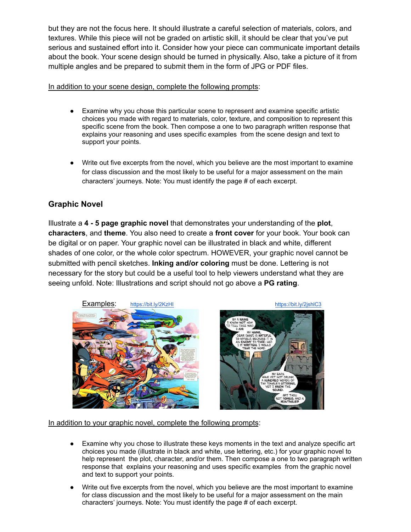but they are not the focus here. It should illustrate a careful selection of materials, colors, and textures. While this piece will not be graded on artistic skill, it should be clear that you've put serious and sustained effort into it. Consider how your piece can communicate important details about the book. Your scene design should be turned in physically. Also, take a picture of it from multiple angles and be prepared to submit them in the form of JPG or PDF files.

### In addition to your scene design, complete the following prompts:

- Examine why you chose this particular scene to represent and examine specific artistic choices you made with regard to materials, color, texture, and composition to represent this specific scene from the book. Then compose a one to two paragraph written response that explains your reasoning and uses specific examples from the scene design and text to support your points.
- Write out five excerpts from the novel, which you believe are the most important to examine for class discussion and the most likely to be useful for a major assessment on the main characters' journeys. Note: You must identify the page # of each excerpt.

## **Graphic Novel**

Illustrate a **4 - 5 page graphic novel** that demonstrates your understanding of the **plot**, **characters**, and **theme**. You also need to create a **front cover** for your book. Your book can be digital or on paper. Your graphic novel can be illustrated in black and white, different shades of one color, or the whole color spectrum. HOWEVER, your graphic novel cannot be submitted with pencil sketches. **Inking and/or coloring** must be done. Lettering is not necessary for the story but could be a useful tool to help viewers understand what they are seeing unfold. Note: Illustrations and script should not go above a **PG rating**.





In addition to your graphic novel, complete the following prompts:

- Examine why you chose to illustrate these keys moments in the text and analyze specific art choices you made (illustrate in black and white, use lettering, etc.) for your graphic novel to help represent the plot, character, and/or them. Then compose a one to two paragraph written response that explains your reasoning and uses specific examples from the graphic novel and text to support your points.
- Write out five excerpts from the novel, which you believe are the most important to examine for class discussion and the most likely to be useful for a major assessment on the main characters' journeys. Note: You must identify the page # of each excerpt.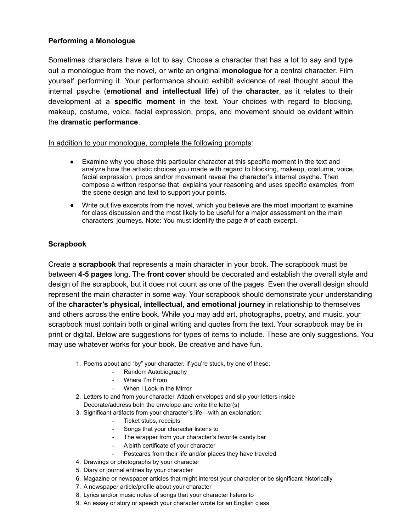### **Performing a Monologue**

Sometimes characters have a lot to say. Choose a character that has a lot to say and type out a monologue from the novel, or write an original **monologue** for a central character. Film yourself performing it. Your performance should exhibit evidence of real thought about the internal psyche (**emotional and intellectual life**) of the **character**, as it relates to their development at a **specific moment** in the text. Your choices with regard to blocking, makeup, costume, voice, facial expression, props, and movement should be evident within the **dramatic performance**.

In addition to your monologue, complete the following prompts:

- Examine why you chose this particular character at this specific moment in the text and analyze how the artistic choices you made with regard to blocking, makeup, costume, voice, facial expression, props and/or movement reveal the character's internal psyche. Then compose a written response that explains your reasoning and uses specific examples from the scene design and text to support your points.
- Write out five excerpts from the novel, which you believe are the most important to examine for class discussion and the most likely to be useful for a major assessment on the main characters' journeys. Note: You must identify the page # of each excerpt.

### **Scrapbook**

Create a **scrapbook** that represents a main character in your book. The scrapbook must be between **4-5 pages** long. The **front cover** should be decorated and establish the overall style and design of the scrapbook, but it does not count as one of the pages. Even the overall design should represent the main character in some way. Your scrapbook should demonstrate your understanding of the **character's physical, intellectual, and emotional journey** in relationship to themselves and others across the entire book. While you may add art, photographs, poetry, and music, your scrapbook must contain both original writing and quotes from the text. Your scrapbook may be in print or digital. Below are suggestions for types of items to include. These are only suggestions. You may use whatever works for your book. Be creative and have fun.

- 1. Poems about and "by" your character. If you're stuck, try one of these:
	- Random Autobiography
	- Where I'm From
	- When I Look in the Mirror
- 2. Letters to and from your character. Attach envelopes and slip your letters inside Decorate/address both the envelope and write the letter(s)
- 3. Significant artifacts from your character's life—with an explanation:
	- Ticket stubs, receipts
	- Songs that your character listens to
	- The wrapper from your character's favorite candy bar
	- A birth certificate of your character
	- Postcards from their life and/or places they have traveled
- 4. Drawings or photographs by your character
- 5. Diary or journal entries by your character
- 6. Magazine or newspaper articles that might interest your character or be significant historically
- 7. A newspaper article/profile about your character
- 8. Lyrics and/or music notes of songs that your character listens to
- 9. An essay or story or speech your character wrote for an English class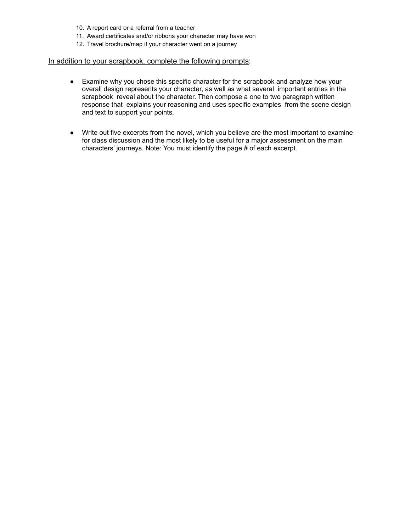- 10. A report card or a referral from a teacher
- 11. Award certificates and/or ribbons your character may have won
- 12. Travel brochure/map if your character went on a journey

#### In addition to your scrapbook, complete the following prompts:

- Examine why you chose this specific character for the scrapbook and analyze how your overall design represents your character, as well as what several important entries in the scrapbook reveal about the character. Then compose a one to two paragraph written response that explains your reasoning and uses specific examples from the scene design and text to support your points.
- Write out five excerpts from the novel, which you believe are the most important to examine for class discussion and the most likely to be useful for a major assessment on the main characters' journeys. Note: You must identify the page # of each excerpt.